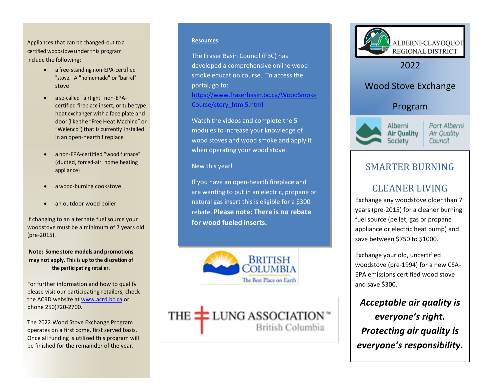Appliances that can be changed-out to a certified woodstove under this program include the following:

- a free-standing non-EPA-certified "stove." A "homemade" or "barrel" stove
- a so-called "airtight" non-EPAcertified fireplace insert, or tube type heat exchanger with a face plate and door(like the "Free Heat Machine" or "Welenco") that is currently installed in an open-hearth fireplace
- a non-EPA-certified "wood furnace" (ducted, forced-air, home heating appliance)
- a wood-burning cookstove
- an outdoor wood boiler

If changing to an alternate fuel source your woodstove must be a minimum of 7 years old (pre-2015).

**Note: Some store models and promotions may not apply. This is up to the discretion of the participating retailer.**

For further information and how to qualify please visit our participating retailers, check the ACRD website a[t www.acrd.bc.ca](http://www.acrd.bc.ca/) or phone 250)720-2700.

The 2022 Wood Stove Exchange Program operates on a first come, first served basis. Once all funding is utilized this program will be finished for the remainder of the year.

#### **Resources**

The Fraser Basin Council (FBC) has developed a comprehensive online wood smoke education course. To access the portal, go to: [https://www.fraserbasin.bc.ca/WoodSmoke](https://www.fraserbasin.bc.ca/WoodSmokeCourse/story_html5.html) [Course/story\\_html5.html](https://www.fraserbasin.bc.ca/WoodSmokeCourse/story_html5.html)

Watch the videos and complete the 5 modules to increase your knowledge of wood stoves and wood smoke and apply it when operating your wood stove.

#### New this year!

If you have an open-hearth fireplace and are wanting to put in an electric, propane or natural gas insert this is eligible for a \$300 rebate. **Please note: There is no rebate for wood fueled inserts.**



THE **LUNG ASSOCIATION** British Columbia



2022

## Wood Stove Exchange

### Program



Port Alberni Air Quality Council

## SMARTER BURNING

# CLEANER LIVING

Exchange any woodstove older than 7 years (pre-2015) for a cleaner burning fuel source (pellet, gas or propane appliance or electric heat pump) and save between \$750 to \$1000.

Exchange your old, uncertified woodstove (pre-1994) for a new CSA-EPA emissions certified wood stove and save \$300.

*Acceptable air quality is everyone's right. Protecting air quality is everyone's responsibility.*